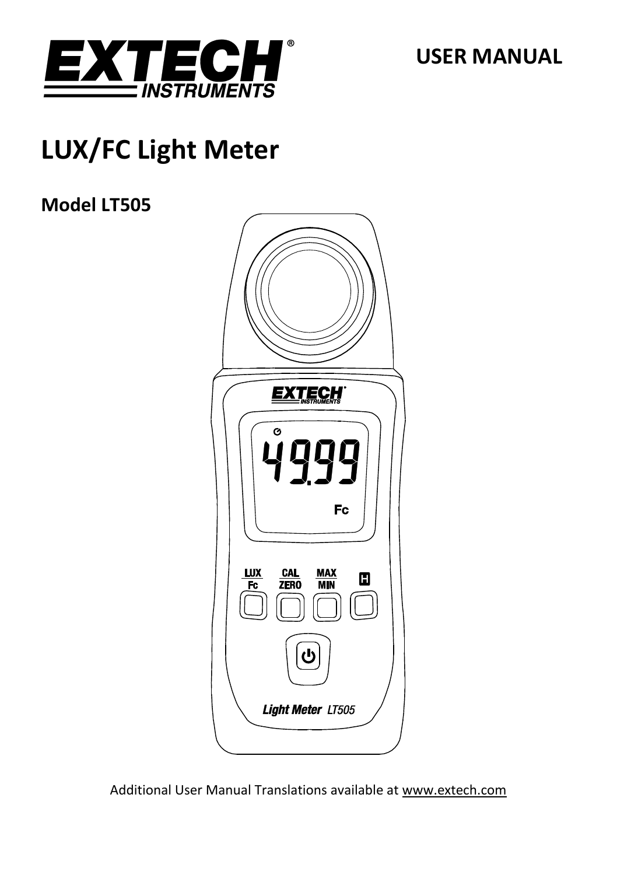

**USER MANUAL**

# **LUX/FC Light Meter**

### **Model LT505**



Additional User Manual Translations available at [www.extech.com](http://www.extech.com/)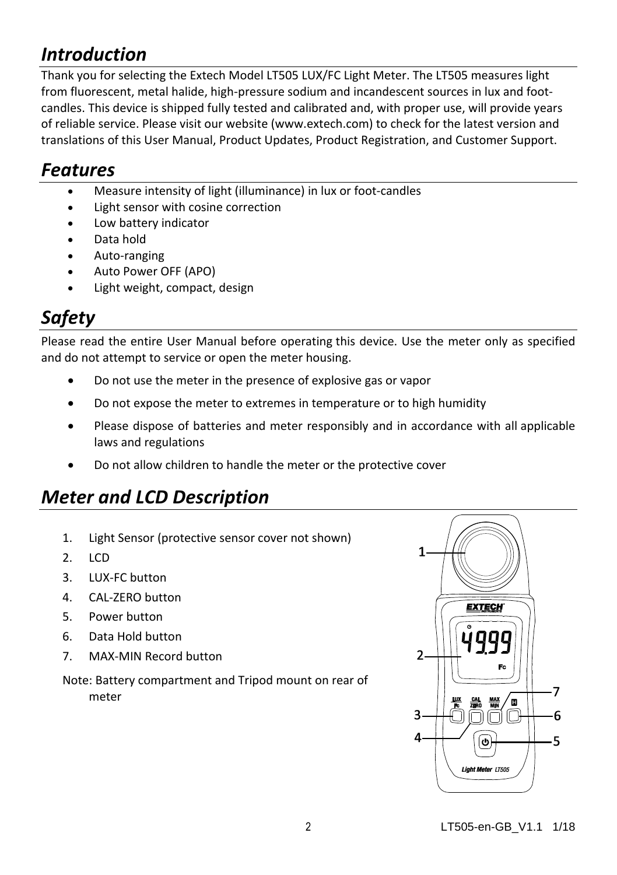### *Introduction*

Thank you for selecting the Extech Model LT505 LUX/FC Light Meter. The LT505 measures light from fluorescent, metal halide, high-pressure sodium and incandescent sources in lux and footcandles. This device is shipped fully tested and calibrated and, with proper use, will provide years of reliable service. Please visit our website [\(www.extech.com\)](http://www.extech.com/) to check for the latest version and translations of this User Manual, Product Updates, Product Registration, and Customer Support.

### *Features*

- Measure intensity of light (illuminance) in lux or foot-candles
- Light sensor with cosine correction
- Low battery indicator
- Data hold
- Auto-ranging
- Auto Power OFF (APO)
- Light weight, compact, design

### *Safety*

Please read the entire User Manual before operating this device. Use the meter only as specified and do not attempt to service or open the meter housing.

- Do not use the meter in the presence of explosive gas or vapor
- Do not expose the meter to extremes in temperature or to high humidity
- Please dispose of batteries and meter responsibly and in accordance with all applicable laws and regulations
- Do not allow children to handle the meter or the protective cover

### *Meter and LCD Description*

- 1. Light Sensor (protective sensor cover not shown)
- $2 \cdot \text{ICD}$
- 3. LUX-FC button
- 4. CAL-ZERO button
- 5. Power button
- 6. Data Hold button
- 7. MAX-MIN Record button

Note: Battery compartment and Tripod mount on rear of meter

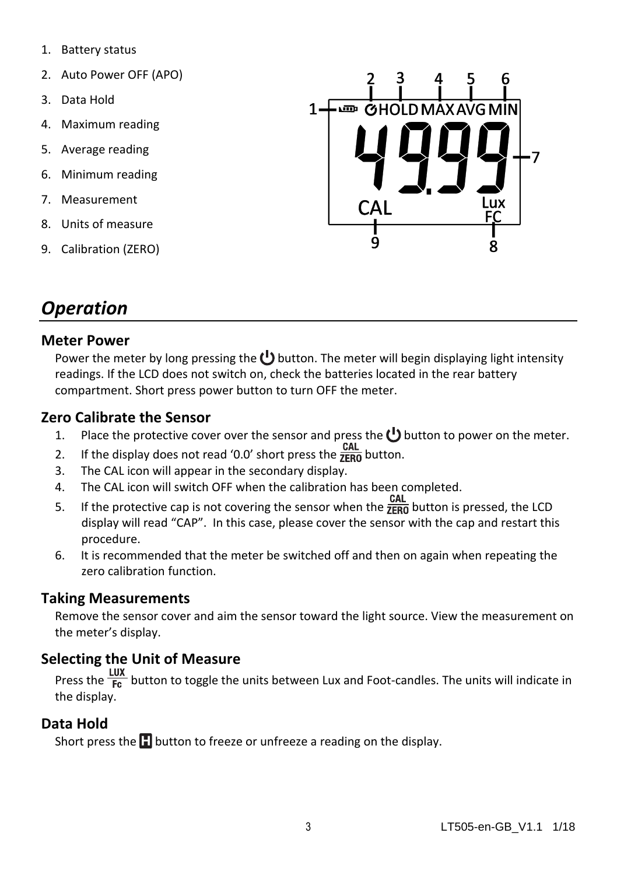- 1. Battery status
- 2. Auto Power OFF (APO)
- 3. Data Hold
- 4. Maximum reading
- 5. Average reading
- 6. Minimum reading
- 7. Measurement
- 8. Units of measure
- 9. Calibration (ZERO)



### *Operation*

#### **Meter Power**

Power the meter by long pressing the  $\bigcup$  button. The meter will begin displaying light intensity readings. If the LCD does not switch on, check the batteries located in the rear battery compartment. Short press power button to turn OFF the meter.

#### **Zero Calibrate the Sensor**

- 1. Place the protective cover over the sensor and press the  $\bigcup$  button to power on the meter.
- 2. If the display does not read '0.0' short press the  $\frac{CAL}{ \overline{z_{FR0}}}$  button.
- 3. The CAL icon will appear in the secondary display.
- 4. The CAL icon will switch OFF when the calibration has been completed.
- 5. If the protective cap is not covering the sensor when the  $\frac{CAL}{ ZER0}$  button is pressed, the LCD display will read "CAP". In this case, please cover the sensor with the cap and restart this procedure.
- 6. It is recommended that the meter be switched off and then on again when repeating the zero calibration function.

#### **Taking Measurements**

Remove the sensor cover and aim the sensor toward the light source. View the measurement on the meter's display.

#### **Selecting the Unit of Measure**

 $\frac{2}{\pi}$  Lux<br>Press the  $\frac{2}{\pi}$  button to toggle the units between Lux and Foot-candles. The units will indicate in the display.

#### **Data Hold**

Short press the  $\Box$  button to freeze or unfreeze a reading on the display.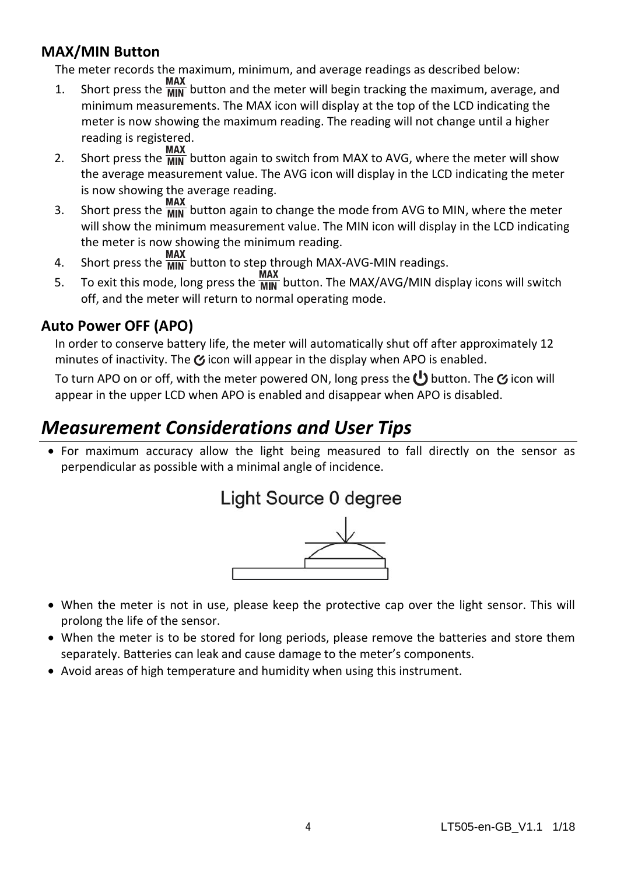#### **MAX/MIN Button**

The meter records the maximum, minimum, and average readings as described below:

- 1. Short press the  $\frac{MAX}{MIN}$  button and the meter will begin tracking the maximum, average, and minimum measurements. The MAX icon will display at the top of the LCD indicating the meter is now showing the maximum reading. The reading will not change until a higher reading is registered.
- 2. Short press the  $\frac{MAX}{MIN}$  button again to switch from MAX to AVG, where the meter will show the average measurement value. The AVG icon will display in the LCD indicating the meter is now showing the average reading.
- $\frac{3.5}{2}$  Short press the  $\frac{3.5}{2}$  button again to change the mode from AVG to MIN, where the meter will show the minimum measurement value. The MIN icon will display in the LCD indicating the meter is now showing the minimum reading.
- 4. Short press the  $\frac{MAX}{MIN}$  button to step through MAX-AVG-MIN readings.
- $\frac{MAX}{M}$  To exit this mode, long press the  $\frac{MAX}{M}$  button. The MAX/AVG/MIN display icons will switch off, and the meter will return to normal operating mode.

#### **Auto Power OFF (APO)**

In order to conserve battery life, the meter will automatically shut off after approximately 12 minutes of inactivity. The  $\mathcal G$  icon will appear in the display when APO is enabled.

To turn APO on or off, with the meter powered ON, long press the  $\mathbf{C}^{\mathbf{I}}$  button. The  $\boldsymbol{\alpha}$  icon will appear in the upper LCD when APO is enabled and disappear when APO is disabled.

### *Measurement Considerations and User Tips*

 For maximum accuracy allow the light being measured to fall directly on the sensor as perpendicular as possible with a minimal angle of incidence.



- When the meter is not in use, please keep the protective cap over the light sensor. This will prolong the life of the sensor.
- When the meter is to be stored for long periods, please remove the batteries and store them separately. Batteries can leak and cause damage to the meter's components.
- Avoid areas of high temperature and humidity when using this instrument.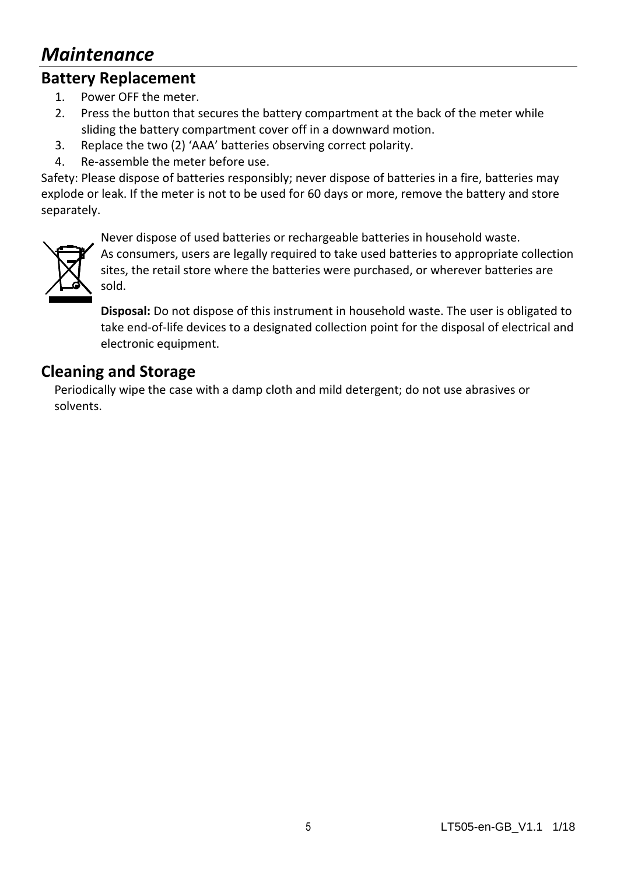### *Maintenance*

### **Battery Replacement**

- 1. Power OFF the meter.
- 2. Press the button that secures the battery compartment at the back of the meter while sliding the battery compartment cover off in a downward motion.
- 3. Replace the two (2) 'AAA' batteries observing correct polarity.
- 4. Re-assemble the meter before use.

Safety: Please dispose of batteries responsibly; never dispose of batteries in a fire, batteries may explode or leak. If the meter is not to be used for 60 days or more, remove the battery and store separately.



Never dispose of used batteries or rechargeable batteries in household waste.

As consumers, users are legally required to take used batteries to appropriate collection sites, the retail store where the batteries were purchased, or wherever batteries are sold.

**Disposal:** Do not dispose of this instrument in household waste. The user is obligated to take end-of-life devices to a designated collection point for the disposal of electrical and electronic equipment.

#### **Cleaning and Storage**

Periodically wipe the case with a damp cloth and mild detergent; do not use abrasives or solvents.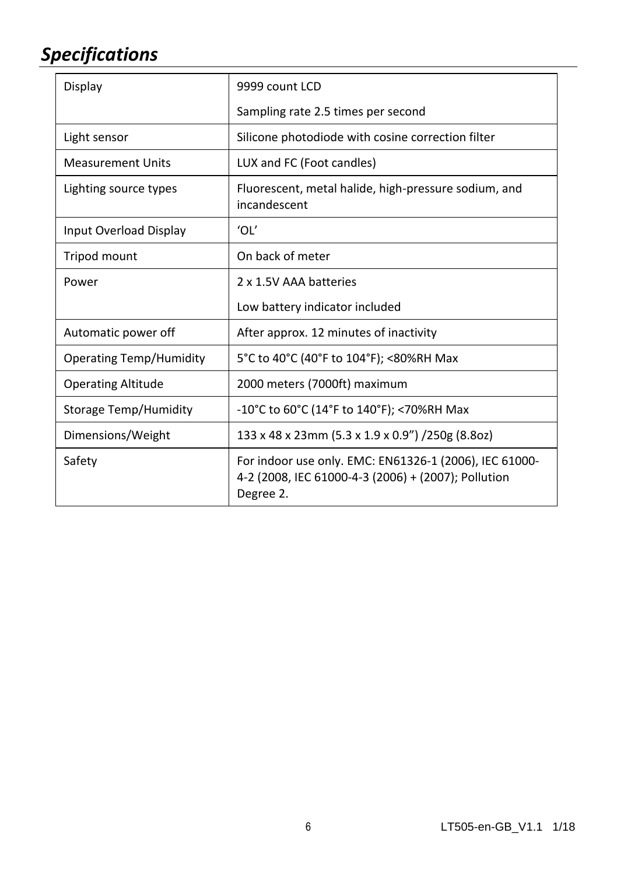## *Specifications*

| Display                        | 9999 count LCD                                                                                                             |  |  |  |
|--------------------------------|----------------------------------------------------------------------------------------------------------------------------|--|--|--|
|                                | Sampling rate 2.5 times per second                                                                                         |  |  |  |
| Light sensor                   | Silicone photodiode with cosine correction filter                                                                          |  |  |  |
| <b>Measurement Units</b>       | LUX and FC (Foot candles)                                                                                                  |  |  |  |
| Lighting source types          | Fluorescent, metal halide, high-pressure sodium, and<br>incandescent                                                       |  |  |  |
| Input Overload Display         | ʻOĽ                                                                                                                        |  |  |  |
| Tripod mount                   | On back of meter                                                                                                           |  |  |  |
| Power                          | 2 x 1.5V AAA batteries                                                                                                     |  |  |  |
|                                | Low battery indicator included                                                                                             |  |  |  |
| Automatic power off            | After approx. 12 minutes of inactivity                                                                                     |  |  |  |
| <b>Operating Temp/Humidity</b> | 5°C to 40°C (40°F to 104°F); <80%RH Max                                                                                    |  |  |  |
| <b>Operating Altitude</b>      | 2000 meters (7000ft) maximum                                                                                               |  |  |  |
| Storage Temp/Humidity          | $-10^{\circ}$ C to 60°C (14°F to 140°F); <70%RH Max                                                                        |  |  |  |
| Dimensions/Weight              | 133 x 48 x 23mm (5.3 x 1.9 x 0.9") /250g (8.8oz)                                                                           |  |  |  |
| Safety                         | For indoor use only. EMC: EN61326-1 (2006), IEC 61000-<br>4-2 (2008, IEC 61000-4-3 (2006) + (2007); Pollution<br>Degree 2. |  |  |  |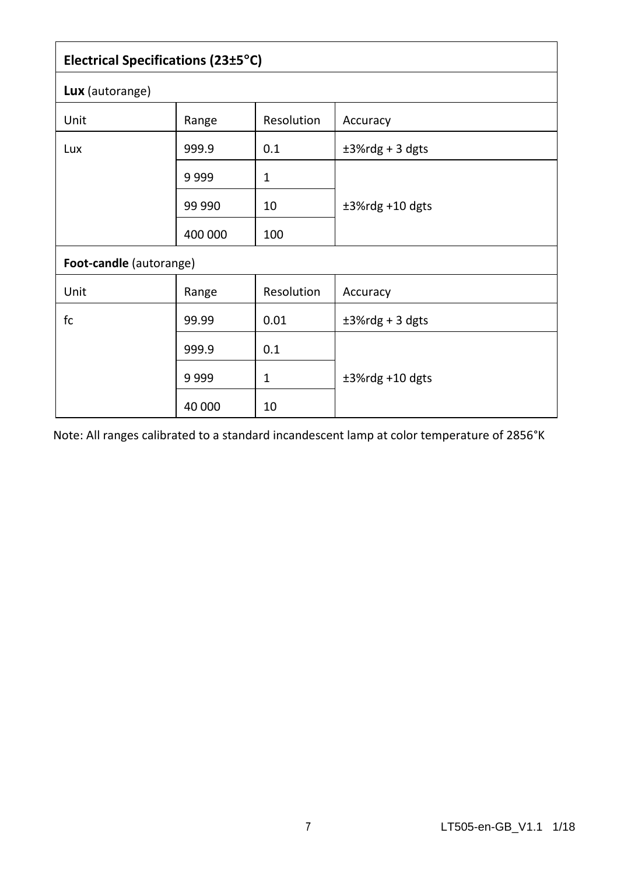| Electrical Specifications (23±5°C) |         |                   |                    |  |  |  |  |  |  |
|------------------------------------|---------|-------------------|--------------------|--|--|--|--|--|--|
| Lux (autorange)                    |         |                   |                    |  |  |  |  |  |  |
| Unit                               | Range   | <b>Resolution</b> | Accuracy           |  |  |  |  |  |  |
| Lux                                | 999.9   | 0.1               | $±3%$ rdg + 3 dgts |  |  |  |  |  |  |
|                                    | 9999    | 1                 |                    |  |  |  |  |  |  |
|                                    | 99 990  | 10                | $±3%$ rdg +10 dgts |  |  |  |  |  |  |
|                                    | 400 000 | 100               |                    |  |  |  |  |  |  |
| Foot-candle (autorange)            |         |                   |                    |  |  |  |  |  |  |
| Unit                               | Range   | Resolution        | Accuracy           |  |  |  |  |  |  |
| fc                                 | 99.99   | 0.01              | $±3%$ rdg + 3 dgts |  |  |  |  |  |  |
|                                    | 999.9   | 0.1               |                    |  |  |  |  |  |  |
|                                    | 9999    | 1                 | $±3%$ rdg +10 dgts |  |  |  |  |  |  |
|                                    | 40 000  | 10                |                    |  |  |  |  |  |  |

Note: All ranges calibrated to a standard incandescent lamp at color temperature of 2856°K